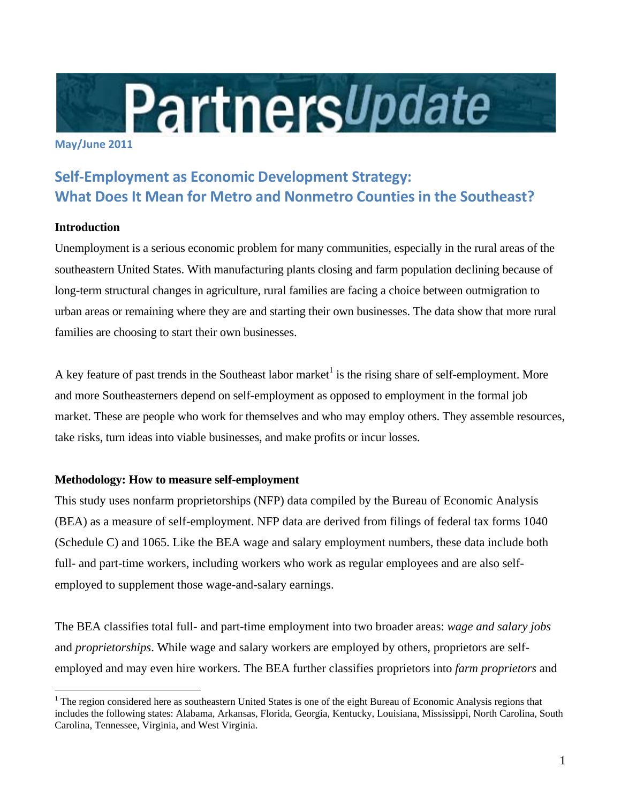

#### **May/June 2011**

# **Self‐Employment as Economic Development Strategy: What Does It Mean for Metro and Nonmetro Counties in the Southeast?**

## **Introduction**

 $\overline{a}$ 

Unemployment is a serious economic problem for many communities, especially in the rural areas of the southeastern United States. With manufacturing plants closing and farm population declining because of long-term structural changes in agriculture, rural families are facing a choice between outmigration to urban areas or remaining where they are and starting their own businesses. The data show that more rural families are choosing to start their own businesses.

A key feature of past trends in the Southeast labor market<sup>1</sup> is the rising share of self-employment. More and more Southeasterners depend on self-employment as opposed to employment in the formal job market. These are people who work for themselves and who may employ others. They assemble resources, take risks, turn ideas into viable businesses, and make profits or incur losses.

## **Methodology: How to measure self-employment**

This study uses nonfarm proprietorships (NFP) data compiled by the Bureau of Economic Analysis (BEA) as a measure of self-employment. NFP data are derived from filings of federal tax forms 1040 (Schedule C) and 1065. Like the BEA wage and salary employment numbers, these data include both full- and part-time workers, including workers who work as regular employees and are also selfemployed to supplement those wage-and-salary earnings.

The BEA classifies total full- and part-time employment into two broader areas: *wage and salary jobs* and *proprietorships*. While wage and salary workers are employed by others, proprietors are selfemployed and may even hire workers. The BEA further classifies proprietors into *farm proprietors* and

<sup>&</sup>lt;sup>1</sup> The region considered here as southeastern United States is one of the eight Bureau of Economic Analysis regions that includes the following states: Alabama, Arkansas, Florida, Georgia, Kentucky, Louisiana, Mississippi, North Carolina, South Carolina, Tennessee, Virginia, and West Virginia.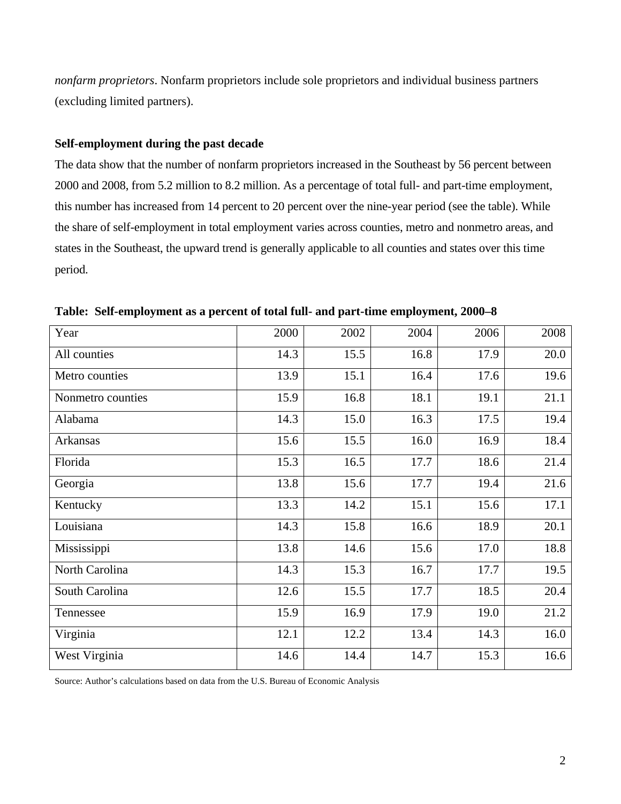*nonfarm proprietors*. Nonfarm proprietors include sole proprietors and individual business partners (excluding limited partners).

#### **Self-employment during the past decade**

The data show that the number of nonfarm proprietors increased in the Southeast by 56 percent between 2000 and 2008, from 5.2 million to 8.2 million. As a percentage of total full- and part-time employment, this number has increased from 14 percent to 20 percent over the nine-year period (see the table). While the share of self-employment in total employment varies across counties, metro and nonmetro areas, and states in the Southeast, the upward trend is generally applicable to all counties and states over this time period.

| Year              | 2000 | 2002 | 2004 | 2006 | 2008 |
|-------------------|------|------|------|------|------|
| All counties      | 14.3 | 15.5 | 16.8 | 17.9 | 20.0 |
| Metro counties    | 13.9 | 15.1 | 16.4 | 17.6 | 19.6 |
| Nonmetro counties | 15.9 | 16.8 | 18.1 | 19.1 | 21.1 |
| Alabama           | 14.3 | 15.0 | 16.3 | 17.5 | 19.4 |
| Arkansas          | 15.6 | 15.5 | 16.0 | 16.9 | 18.4 |
| Florida           | 15.3 | 16.5 | 17.7 | 18.6 | 21.4 |
| Georgia           | 13.8 | 15.6 | 17.7 | 19.4 | 21.6 |
| Kentucky          | 13.3 | 14.2 | 15.1 | 15.6 | 17.1 |
| Louisiana         | 14.3 | 15.8 | 16.6 | 18.9 | 20.1 |
| Mississippi       | 13.8 | 14.6 | 15.6 | 17.0 | 18.8 |
| North Carolina    | 14.3 | 15.3 | 16.7 | 17.7 | 19.5 |
| South Carolina    | 12.6 | 15.5 | 17.7 | 18.5 | 20.4 |
| Tennessee         | 15.9 | 16.9 | 17.9 | 19.0 | 21.2 |
| Virginia          | 12.1 | 12.2 | 13.4 | 14.3 | 16.0 |
| West Virginia     | 14.6 | 14.4 | 14.7 | 15.3 | 16.6 |

**Table: Self-employment as a percent of total full- and part-time employment, 2000–8**

Source: Author's calculations based on data from the U.S. Bureau of Economic Analysis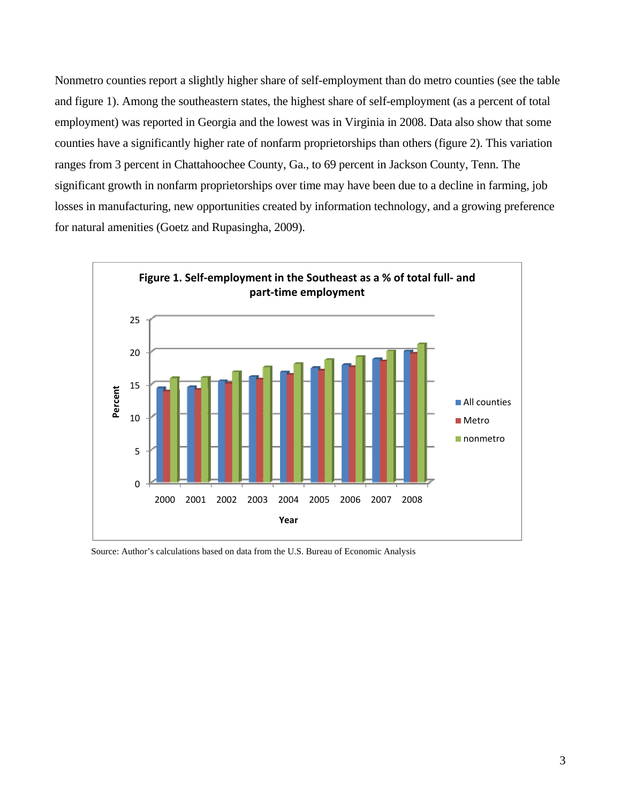Nonmetro counties report a slightly higher share of self-employment than do metro counties (see the table and figure 1). Among the southeastern states, the highest share of self-employment (as a percent of total employment) was reported in Georgia and the lowest was in Virginia in 2008. Data also show that some counties have a significantly higher rate of nonfarm proprietorships than others (figure 2). This variation ranges from 3 percent in Chattahoochee County, Ga., to 69 percent in Jackson County, Tenn. The significant growth in nonfarm proprietorships over time may have been due to a decline in farming, job losses in manufacturing, new opportunities created by information technology, and a growing preference for natural amenities (Goetz and Rupasingha, 2009).



Source: Author's calculations based on data from the U.S. Bureau of Economic Analysis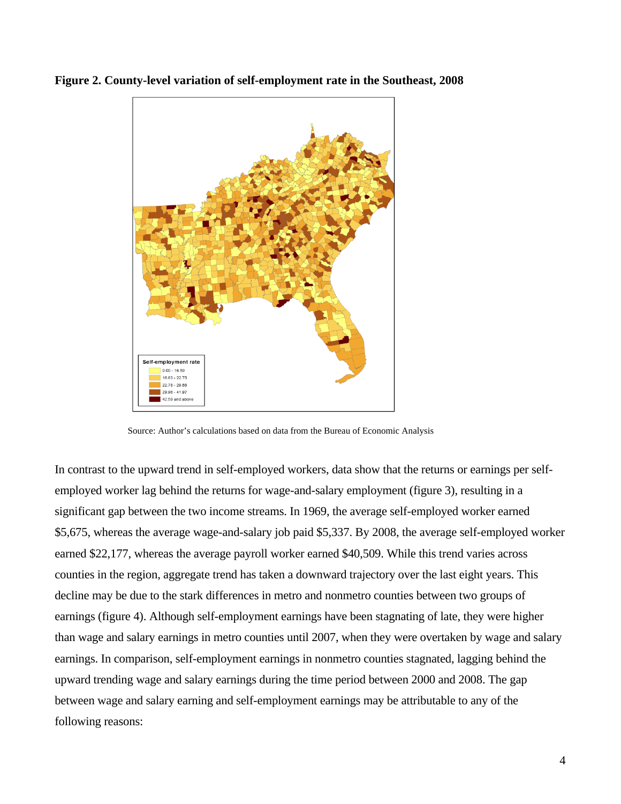

**Figure 2. County-level variation of self-employment rate in the Southeast, 2008** 

Source: Author's calculations based on data from the Bureau of Economic Analysis

In contrast to the upward trend in self-employed workers, data show that the returns or earnings per selfemployed worker lag behind the returns for wage-and-salary employment (figure 3), resulting in a significant gap between the two income streams. In 1969, the average self-employed worker earned \$5,675, whereas the average wage-and-salary job paid \$5,337. By 2008, the average self-employed worker earned \$22,177, whereas the average payroll worker earned \$40,509. While this trend varies across counties in the region, aggregate trend has taken a downward trajectory over the last eight years. This decline may be due to the stark differences in metro and nonmetro counties between two groups of earnings (figure 4). Although self-employment earnings have been stagnating of late, they were higher than wage and salary earnings in metro counties until 2007, when they were overtaken by wage and salary earnings. In comparison, self-employment earnings in nonmetro counties stagnated, lagging behind the upward trending wage and salary earnings during the time period between 2000 and 2008. The gap between wage and salary earning and self-employment earnings may be attributable to any of the following reasons: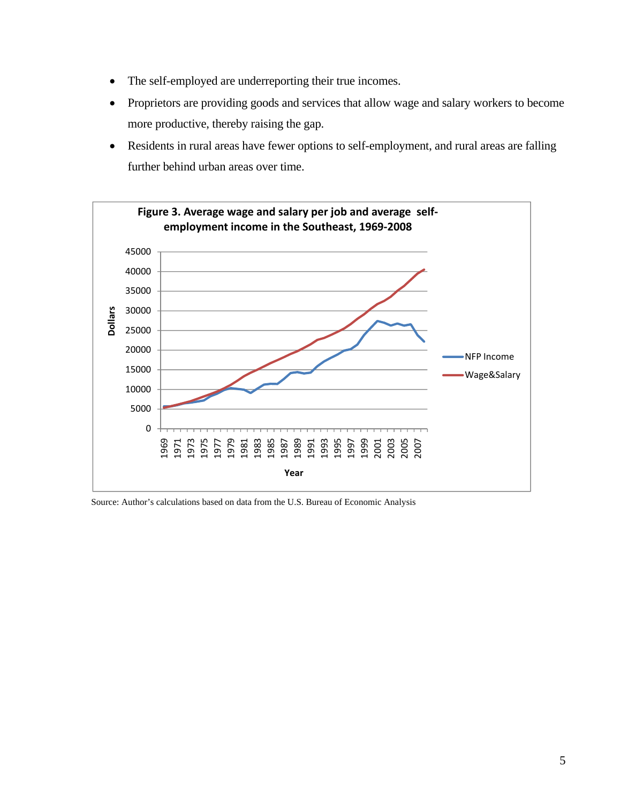- The self-employed are underreporting their true incomes.
- Proprietors are providing goods and services that allow wage and salary workers to become more productive, thereby raising the gap.
- Residents in rural areas have fewer options to self-employment, and rural areas are falling further behind urban areas over time.



Source: Author's calculations based on data from the U.S. Bureau of Economic Analysis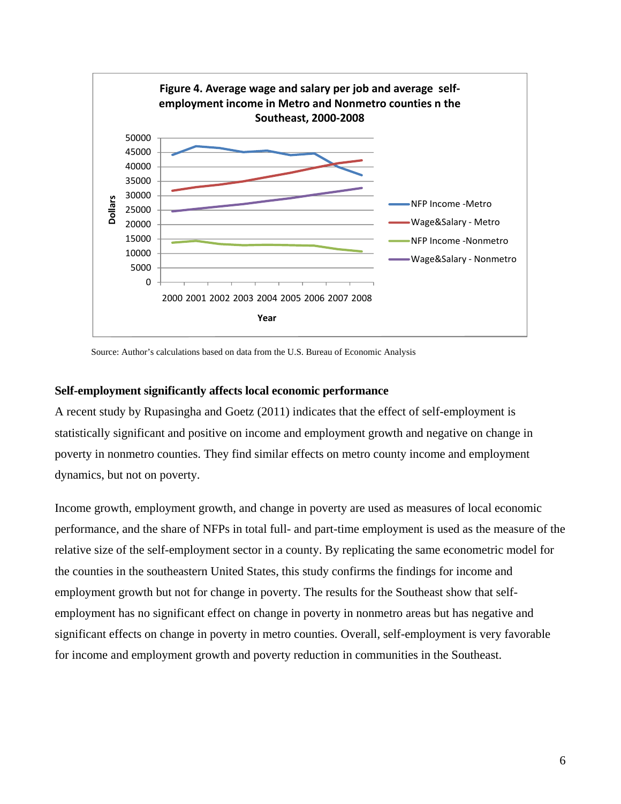

Source: Author's calculations based on data from the U.S. Bureau of Economic Analysis

#### **Self-employment significantly affects local economic performance**

A recent study by Rupasingha and Goetz (2011) indicates that the effect of self-employment is statistically significant and positive on income and employment growth and negative on change in poverty in nonmetro counties. They find similar effects on metro county income and employment dynamics, but not on poverty.

Income growth, employment growth, and change in poverty are used as measures of local economic performance, and the share of NFPs in total full- and part-time employment is used as the measure of the relative size of the self-employment sector in a county. By replicating the same econometric model for the counties in the southeastern United States, this study confirms the findings for income and employment growth but not for change in poverty. The results for the Southeast show that selfemployment has no significant effect on change in poverty in nonmetro areas but has negative and significant effects on change in poverty in metro counties. Overall, self-employment is very favorable for income and employment growth and poverty reduction in communities in the Southeast.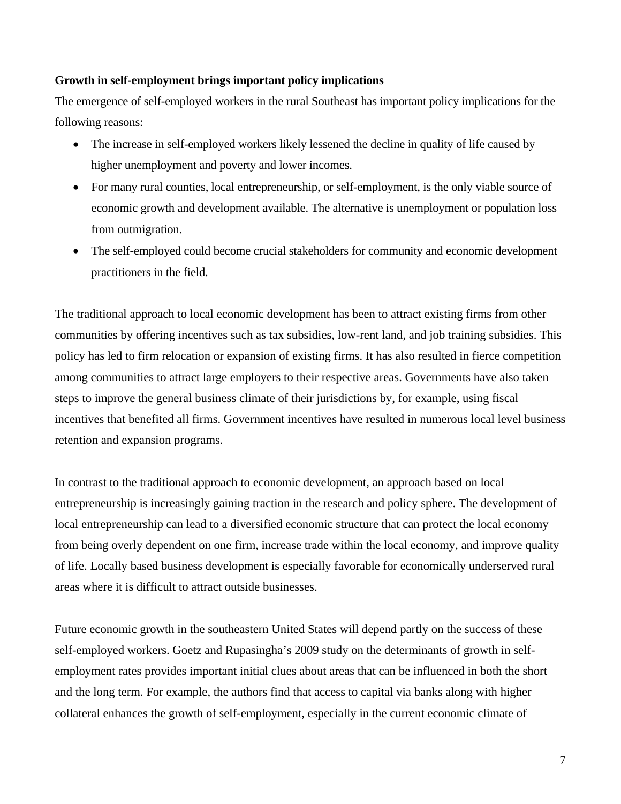## **Growth in self-employment brings important policy implications**

The emergence of self-employed workers in the rural Southeast has important policy implications for the following reasons:

- The increase in self-employed workers likely lessened the decline in quality of life caused by higher unemployment and poverty and lower incomes.
- For many rural counties, local entrepreneurship, or self-employment, is the only viable source of economic growth and development available. The alternative is unemployment or population loss from outmigration.
- The self-employed could become crucial stakeholders for community and economic development practitioners in the field.

The traditional approach to local economic development has been to attract existing firms from other communities by offering incentives such as tax subsidies, low-rent land, and job training subsidies. This policy has led to firm relocation or expansion of existing firms. It has also resulted in fierce competition among communities to attract large employers to their respective areas. Governments have also taken steps to improve the general business climate of their jurisdictions by, for example, using fiscal incentives that benefited all firms. Government incentives have resulted in numerous local level business retention and expansion programs.

In contrast to the traditional approach to economic development, an approach based on local entrepreneurship is increasingly gaining traction in the research and policy sphere. The development of local entrepreneurship can lead to a diversified economic structure that can protect the local economy from being overly dependent on one firm, increase trade within the local economy, and improve quality of life. Locally based business development is especially favorable for economically underserved rural areas where it is difficult to attract outside businesses.

Future economic growth in the southeastern United States will depend partly on the success of these self-employed workers. Goetz and Rupasingha's 2009 study on the determinants of growth in selfemployment rates provides important initial clues about areas that can be influenced in both the short and the long term. For example, the authors find that access to capital via banks along with higher collateral enhances the growth of self-employment, especially in the current economic climate of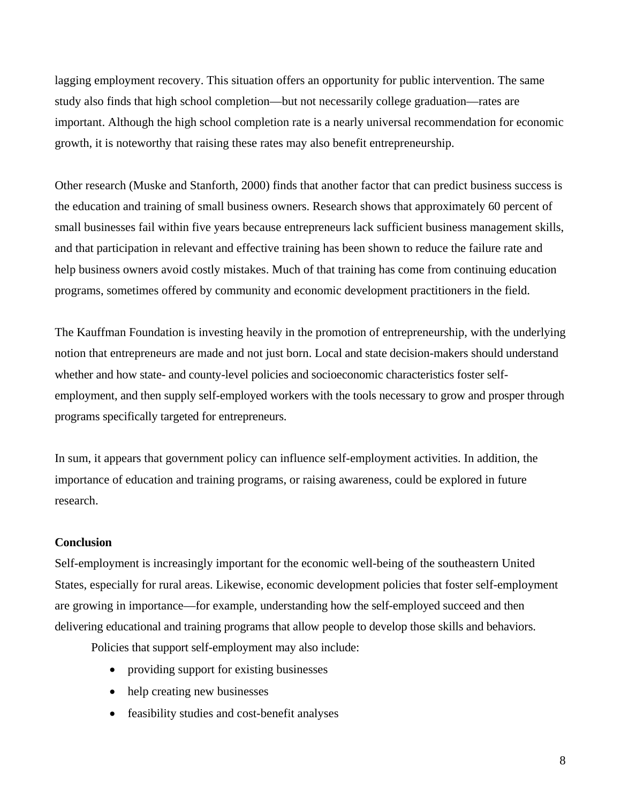lagging employment recovery. This situation offers an opportunity for public intervention. The same study also finds that high school completion—but not necessarily college graduation—rates are important. Although the high school completion rate is a nearly universal recommendation for economic growth, it is noteworthy that raising these rates may also benefit entrepreneurship.

Other research (Muske and Stanforth, 2000) finds that another factor that can predict business success is the education and training of small business owners. Research shows that approximately 60 percent of small businesses fail within five years because entrepreneurs lack sufficient business management skills, and that participation in relevant and effective training has been shown to reduce the failure rate and help business owners avoid costly mistakes. Much of that training has come from continuing education programs, sometimes offered by community and economic development practitioners in the field.

The Kauffman Foundation is investing heavily in the promotion of entrepreneurship, with the underlying notion that entrepreneurs are made and not just born. Local and state decision-makers should understand whether and how state- and county-level policies and socioeconomic characteristics foster selfemployment, and then supply self-employed workers with the tools necessary to grow and prosper through programs specifically targeted for entrepreneurs.

In sum, it appears that government policy can influence self-employment activities. In addition, the importance of education and training programs, or raising awareness, could be explored in future research.

#### **Conclusion**

Self-employment is increasingly important for the economic well-being of the southeastern United States, especially for rural areas. Likewise, economic development policies that foster self-employment are growing in importance—for example, understanding how the self-employed succeed and then delivering educational and training programs that allow people to develop those skills and behaviors.

Policies that support self-employment may also include:

- providing support for existing businesses
- help creating new businesses
- feasibility studies and cost-benefit analyses